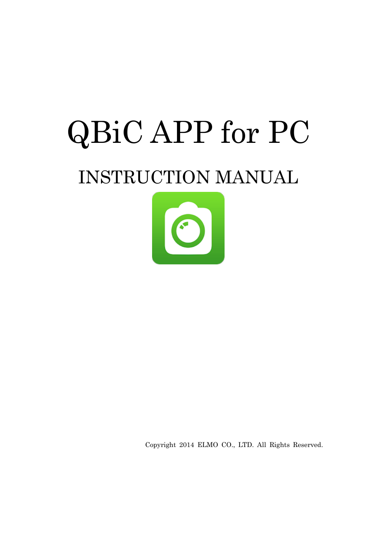# QBiC APP for PC INSTRUCTION MANUAL



Copyright 2014 ELMO CO., LTD. All Rights Reserved.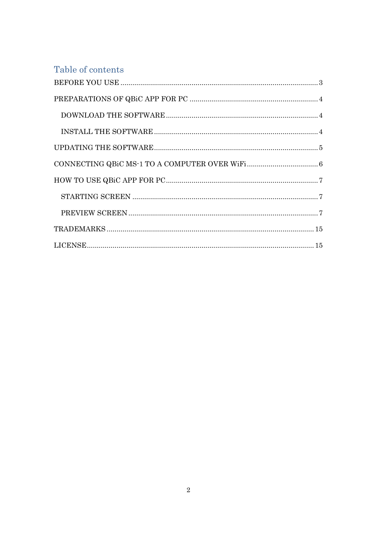### Table of contents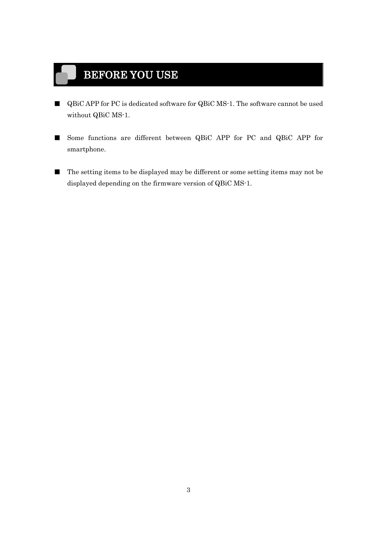# <span id="page-2-0"></span>BEFORE YOU USE

- QBiC APP for PC is dedicated software for QBiC MS-1. The software cannot be used without QBiC MS-1.
- Some functions are different between QBiC APP for PC and QBiC APP for smartphone.
- The setting items to be displayed may be different or some setting items may not be displayed depending on the firmware version of QBiC MS-1.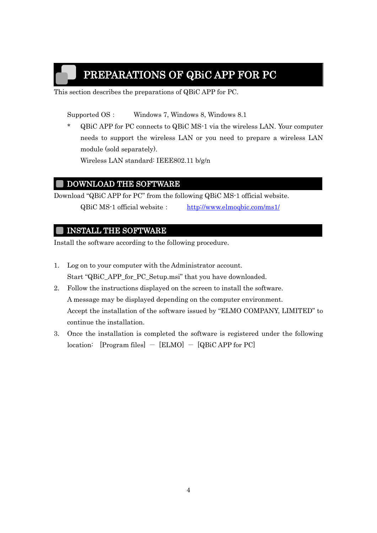# PREPARATIONS OF QBiC APP FOR PC

<span id="page-3-0"></span>This section describes the preparations of QBiC APP for PC.

Supported OS: Windows 7, Windows 8, Windows 8.1

\* QBiC APP for PC connects to QBiC MS-1 via the wireless LAN. Your computer needs to support the wireless LAN or you need to prepare a wireless LAN module (sold separately).

Wireless LAN standard: IEEE802.11 b/g/n

#### <span id="page-3-1"></span>DOWNLOAD THE SOFTWARE

Download "QBiC APP for PC" from the following QBiC MS-1 official website. QBiC MS-1 official website: <http://www.elmoqbic.com/ms1/>

#### <span id="page-3-2"></span>INSTALL THE SOFTWARE

Install the software according to the following procedure.

- 1. Log on to your computer with the Administrator account. Start "QBiC\_APP\_for\_PC\_Setup.msi" that you have downloaded.
- 2. Follow the instructions displayed on the screen to install the software. A message may be displayed depending on the computer environment. Accept the installation of the software issued by "ELMO COMPANY, LIMITED" to continue the installation.
- 3. Once the installation is completed the software is registered under the following location:  $[Program files] - [ELMO] - [QBiCAPP for PC]$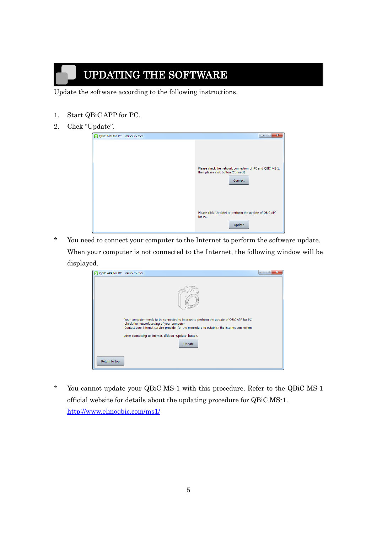# UPDATING THE SOFTWARE

<span id="page-4-0"></span>Update the software according to the following instructions.

- 1. Start QBiC APP for PC.
- 2. Click "Update".

| O QBiC APP for PC Ver.xx.xx.xxx | $\mathbf{x}$<br>E<br>$\qquad \qquad \blacksquare$                                                          |
|---------------------------------|------------------------------------------------------------------------------------------------------------|
|                                 | Please check the network connection of PC and QBIC MS-1,<br>then please click button [Connect].<br>Connect |
|                                 | Please click [Update] to perform the update of QBiC APP<br>for PC.<br>Update                               |

\* You need to connect your computer to the Internet to perform the software update. When your computer is not connected to the Internet, the following window will be displayed.

| O QBiC APP for PC Ver.xx.xx.xxx |                                                                                                                                                                                                                                            | $\mathbf{x}$<br>$\boxed{\square}$<br>$-$ |
|---------------------------------|--------------------------------------------------------------------------------------------------------------------------------------------------------------------------------------------------------------------------------------------|------------------------------------------|
|                                 |                                                                                                                                                                                                                                            |                                          |
|                                 | Your computer needs to be connected to internet to perform the update of QBiC APP for PC.<br>Check the network setting of your computer.<br>Contact your internet service provider for the procedure to establish the internet connection. |                                          |
|                                 | After connecting to internet, click on "Update" button.<br>Update                                                                                                                                                                          |                                          |
|                                 |                                                                                                                                                                                                                                            |                                          |
| Return to top                   |                                                                                                                                                                                                                                            |                                          |

You cannot update your QBiC MS-1 with this procedure. Refer to the QBiC MS-1 official website for details about the updating procedure for QBiC MS-1. <http://www.elmoqbic.com/ms1/>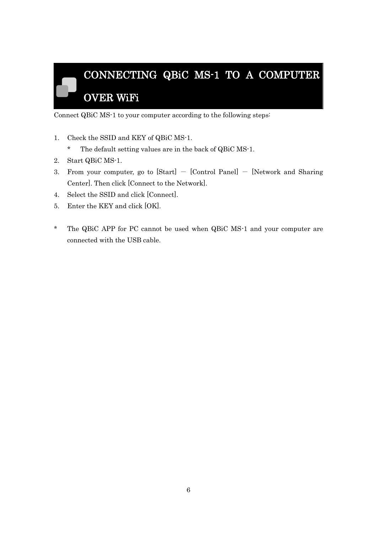# <span id="page-5-0"></span>CONNECTING QBiC MS-1 TO A COMPUTER OVER WiFi

Connect QBiC MS-1 to your computer according to the following steps:

- 1. Check the SSID and KEY of QBiC MS-1.
	- \* The default setting values are in the back of QBiC MS-1.
- 2. Start QBiC MS-1.
- 3. From your computer, go to  $[Start] [Control Panel] [Network and Sharing]$ Center]. Then click [Connect to the Network].
- 4. Select the SSID and click [Connect].
- 5. Enter the KEY and click [OK].
- \* The QBiC APP for PC cannot be used when QBiC MS-1 and your computer are connected with the USB cable.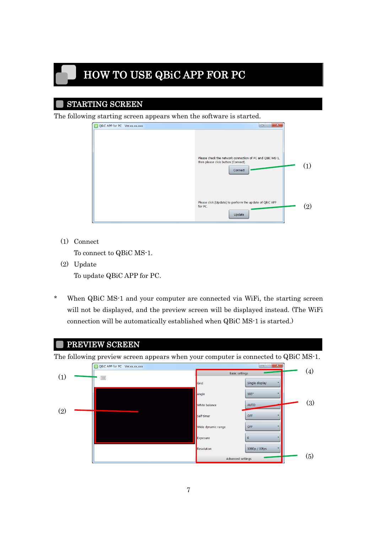# <span id="page-6-0"></span>HOW TO USE QBiC APP FOR PC

#### <span id="page-6-1"></span>STARTING SCREEN

The following starting screen appears when the software is started.

| O QBiC APP for PC Ver.xx.xx.xxx | $\mathbf{x}$<br>ales i<br>$\blacksquare$                                                                   |                   |
|---------------------------------|------------------------------------------------------------------------------------------------------------|-------------------|
|                                 | Please check the network connection of PC and QBIC MS-1,<br>then please click button [Connect].<br>Connect |                   |
|                                 | Please click [Update] to perform the update of QBiC APP<br>for PC.<br>Update                               | $\left( 2\right)$ |

(1) Connect

To connect to QBiC MS-1.

(2) Update

To update QBiC APP for PC.

\* When QBiC MS-1 and your computer are connected via WiFi, the starting screen will not be displayed, and the preview screen will be displayed instead. (The WiFi connection will be automatically established when QBiC MS-1 is started.)

<span id="page-6-2"></span>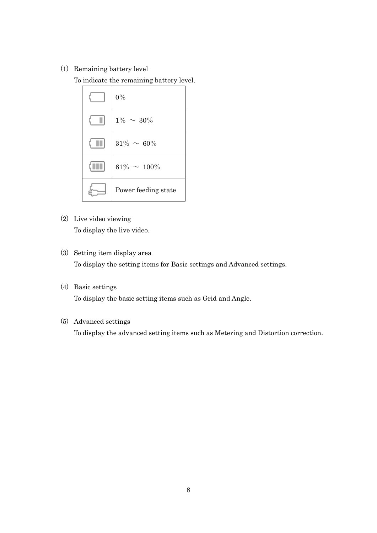(1) Remaining battery level

To indicate the remaining battery level.

| $0\%$               |
|---------------------|
| $1\% \sim 30\%$     |
| $31\% \sim 60\%$    |
| $61\% \sim 100\%$   |
| Power feeding state |

- (2) Live video viewing To display the live video.
- (3) Setting item display area To display the setting items for Basic settings and Advanced settings.
- (4) Basic settings To display the basic setting items such as Grid and Angle.
- (5) Advanced settings

To display the advanced setting items such as Metering and Distortion correction.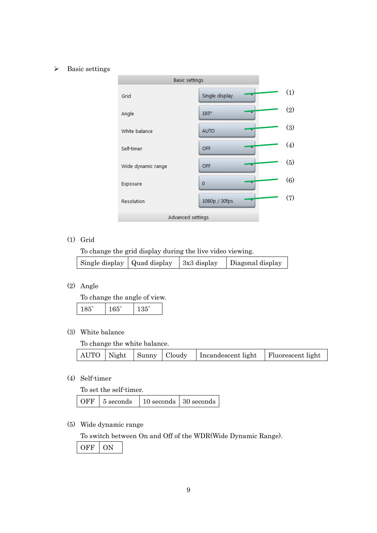#### > Basic settings



#### (1) Grid

To change the grid display during the live video viewing.

| Single display $\vert$ Quad display $\vert$ 3x3 display | Diagonal display |
|---------------------------------------------------------|------------------|
|                                                         |                  |

#### (2) Angle

To change the angle of view.

| --<br>r. |  |
|----------|--|
|          |  |

#### (3) White balance

To change the white balance.

|  |  | AUTO   Night   Sunny   Cloudy   Incandescent light   Fluorescent light |  |
|--|--|------------------------------------------------------------------------|--|
|  |  |                                                                        |  |

#### (4) Self-timer

To set the self-timer.

|  |  |  | OFF   5 seconds   10 seconds   30 seconds |
|--|--|--|-------------------------------------------|
|--|--|--|-------------------------------------------|

(5) Wide dynamic range

To switch between On and Off of the WDR(Wide Dynamic Range).

OFF ON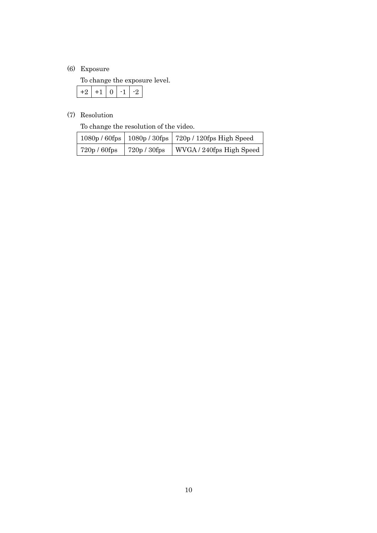#### (6) Exposure

To change the exposure level.

|--|--|--|--|--|

#### (7) Resolution

To change the resolution of the video.

|              |              | $1080p / 60fps$   $1080p / 30fps$   $720p / 120fps$ High Speed |
|--------------|--------------|----------------------------------------------------------------|
| 720p / 60fps | 720p / 30fps | WVGA / 240fps High Speed                                       |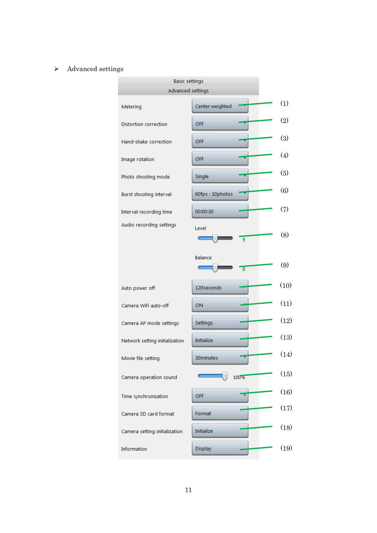#### $\triangleright$  Advanced settings

| <b>Basic settings</b>          |                           |                    |  |  |  |
|--------------------------------|---------------------------|--------------------|--|--|--|
| Advanced settings              |                           |                    |  |  |  |
| Metering                       | Center-weighted           | (1)                |  |  |  |
| <b>Distortion correction</b>   | OFF                       | (2)                |  |  |  |
| Hand-shake correction          | OFF                       | (3)                |  |  |  |
| Image rotation                 | OFF                       | $\left( 4 \right)$ |  |  |  |
| Photo shooting mode            | Single                    | (5)                |  |  |  |
| Burst shooting interval        | 60fps: 10photos           | (6)                |  |  |  |
| Interval recording time        | 00:00:30                  | (7)                |  |  |  |
| Audio recording settings       | Level<br>5                | (8)                |  |  |  |
|                                | Balance<br>$\overline{0}$ | (9)                |  |  |  |
| Auto power off                 | 120 seconds               | (10)               |  |  |  |
| Camera WiFi auto-off           | ON                        | (11)               |  |  |  |
| Camera AP mode settings        | Settings                  | (12)               |  |  |  |
| Network setting initialization | <b>Initialize</b>         | (13)               |  |  |  |
| Movie file setting             | 30minutes                 | (14)               |  |  |  |
| Camera operation sound         | 100%                      | (15)               |  |  |  |
| Time synchronization           | OFF                       | (16)               |  |  |  |
| Camera SD card format          | Format                    | (17)               |  |  |  |
| Camera setting initialization  | <b>Initialize</b>         | (18)               |  |  |  |
| Information                    | Display                   | (19)               |  |  |  |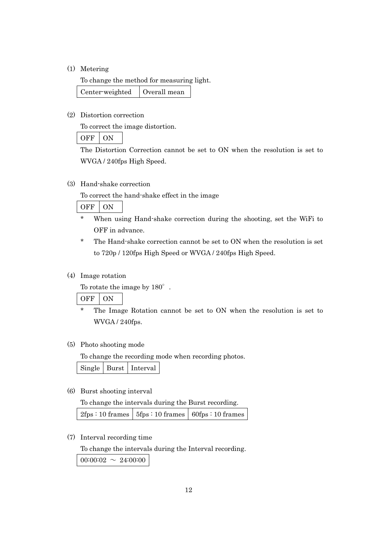(1) Metering

To change the method for measuring light. Center-weighted | Overall mean

(2) Distortion correction

To correct the image distortion.

OFF ON

The Distortion Correction cannot be set to ON when the resolution is set to WVGA / 240fps High Speed.

(3) Hand-shake correction

To correct the hand-shake effect in the image

OFF ON

- \* When using Hand-shake correction during the shooting, set the WiFi to OFF in advance.
- \* The Hand-shake correction cannot be set to ON when the resolution is set to 720p / 120fps High Speed or WVGA / 240fps High Speed.

#### (4) Image rotation

To rotate the image by  $180^\circ$ .

OFF ON

The Image Rotation cannot be set to ON when the resolution is set to WVGA / 240fps.

#### (5) Photo shooting mode

To change the recording mode when recording photos.

Single Burst Interval

(6) Burst shooting interval

To change the intervals during the Burst recording.  $2fps : 10$  frames  $5fps : 10$  frames  $60fps : 10$  frames

(7) Interval recording time

To change the intervals during the Interval recording.

 $00:00:02 \sim 24:00:00$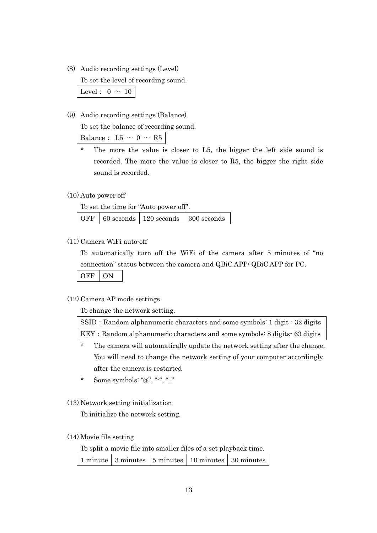(8) Audio recording settings (Level)

To set the level of recording sound.

Level:  $0 \sim 10$ 

(9) Audio recording settings (Balance)

To set the balance of recording sound.

Balance: L5  $\sim$  0  $\sim$  R5

The more the value is closer to L5, the bigger the left side sound is recorded. The more the value is closer to R5, the bigger the right side sound is recorded.

#### (10) Auto power off

To set the time for "Auto power off".

| OFF $\vert$ 60 seconds $\vert$ 120 seconds $\vert$ 300 seconds |  |
|----------------------------------------------------------------|--|
|----------------------------------------------------------------|--|

(11) Camera WiFi auto-off

To automatically turn off the WiFi of the camera after 5 minutes of "no connection" status between the camera and QBiC APP/ QBiC APP for PC.

OFF ON

#### (12) Camera AP mode settings

To change the network setting.

| SSID: Random alphanumeric characters and some symbols: 1 digit - 32 digits |  |
|----------------------------------------------------------------------------|--|
| KEY: Random alphanumeric characters and some symbols: 8 digits 63 digits   |  |

- \* The camera will automatically update the network setting after the change. You will need to change the network setting of your computer accordingly after the camera is restarted
- \* Some symbols: "@", "-", "\_"
- (13) Network setting initialization

To initialize the network setting.

#### (14) Movie file setting

To split a movie file into smaller files of a set playback time.

|  |  |  | 1 minute 3 minutes 5 minutes 10 minutes 30 minutes |  |
|--|--|--|----------------------------------------------------|--|
|--|--|--|----------------------------------------------------|--|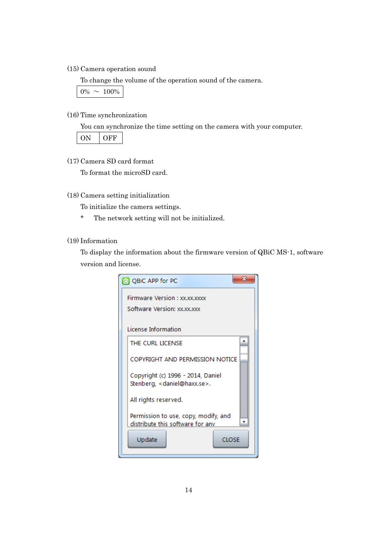(15) Camera operation sound

To change the volume of the operation sound of the camera.

 $0\% \sim 100\%$ 

#### (16) Time synchronization

You can synchronize the time setting on the camera with your computer.

ON OFF

(17) Camera SD card format

To format the microSD card.

(18) Camera setting initialization

To initialize the camera settings.

\* The network setting will not be initialized.

(19) Information

To display the information about the firmware version of QBiC MS-1, software version and license.